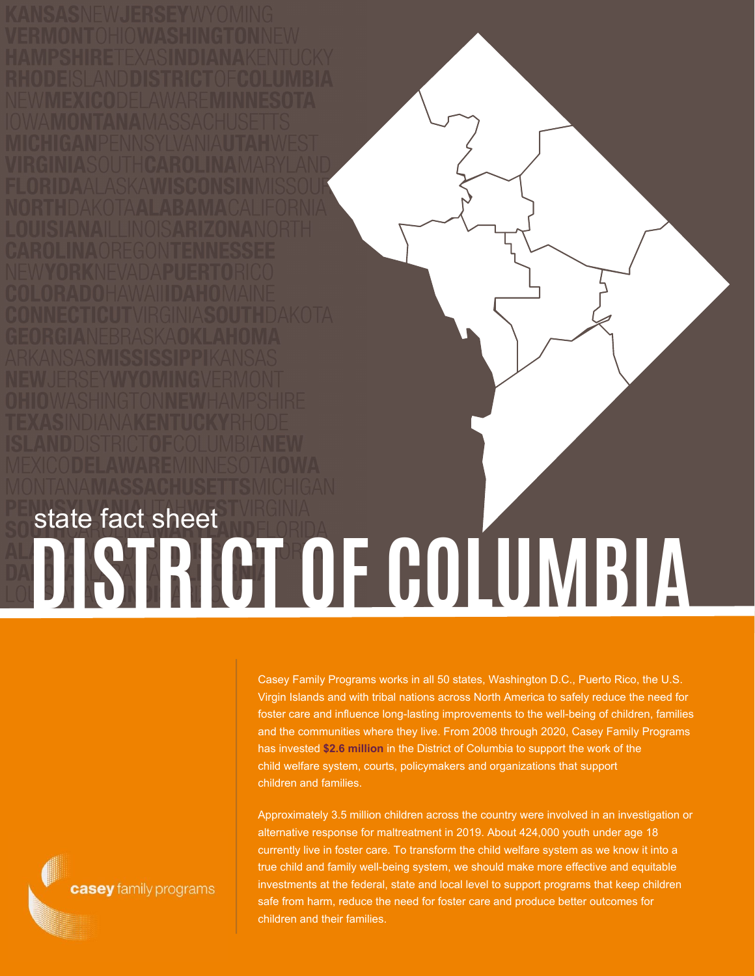## **DISTRICT OF COLUMBIA** state fact sheet

Casey Family Programs works in all 50 states, Washington D.C., Puerto Rico, the U.S. Virgin Islands and with tribal nations across North America to safely reduce the need for foster care and influence long-lasting improvements to the well-being of children, families and the communities where they live. From 2008 through 2020, Casey Family Programs has invested **\$2.6 million** in the District of Columbia to support the work of the child welfare system, courts, policymakers and organizations that support children and families.

Approximately 3.5 million children across the country were involved in an investigation or alternative response for maltreatment in 2019. About 424,000 youth under age 18 currently live in foster care. To transform the child welfare system as we know it into a true child and family well-being system, we should make more effective and equitable investments at the federal, state and local level to support programs that keep children safe from harm, reduce the need for foster care and produce better outcomes for children and their families.

casey family programs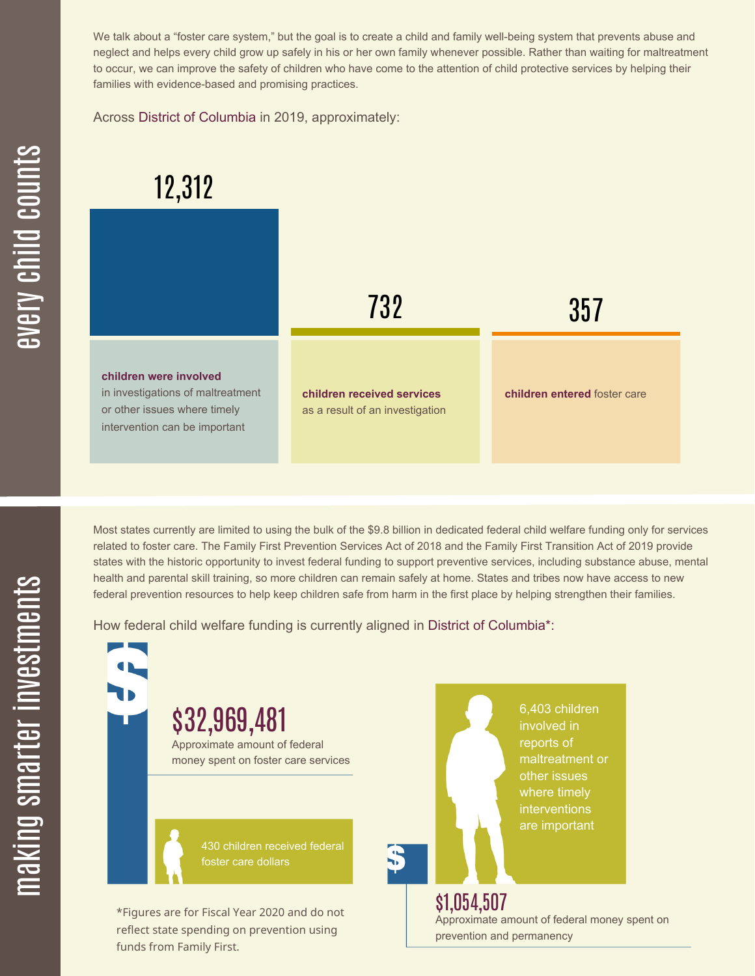We talk about a "foster care system," but the goal is to create a child and family well-being system that prevents abuse and neglect and helps every child grow up safely in his or her own family whenever possible. Rather than waiting for maltreatment to occur, we can improve the safety of children who have come to the attention of child protective services by helping their families with evidence-based and promising practices.

Across District of Columbia in 2019, approximately:

## 12,312



Most states currently are limited to using the bulk of the \$9.8 billion in dedicated federal child welfare funding only for services related to foster care. The Family First Prevention Services Act of 2018 and the Family First Transition Act of 2019 provide states with the historic opportunity to invest federal funding to support preventive services, including substance abuse, mental health and parental skill training, so more children can remain safely at home. States and tribes now have access to new federal prevention resources to help keep children safe from harm in the first place by helping strengthen their families.

How federal child welfare funding is currently aligned in District of Columbia\*:

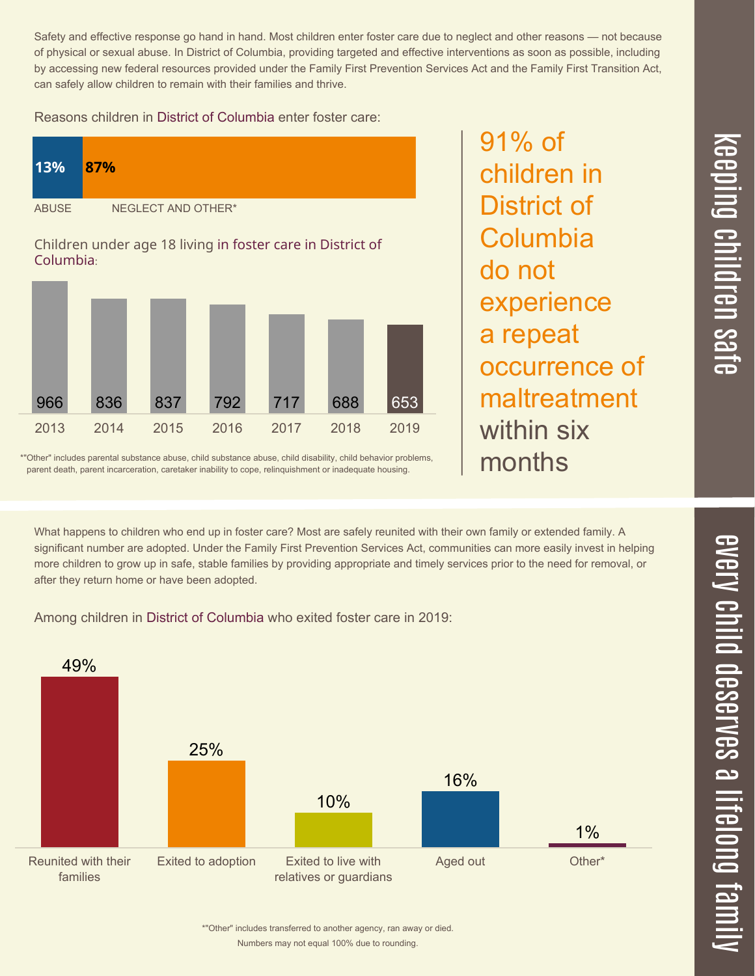Safety and effective response go hand in hand. Most children enter foster care due to neglect and other reasons — not because of physical or sexual abuse. In District of Columbia, providing targeted and effective interventions as soon as possible, including by accessing new federal resources provided under the Family First Prevention Services Act and the Family First Transition Act, can safely allow children to remain with their families and thrive.

## Reasons children in District of Columbia enter foster care:



91% of children in District of **Columbia** do not experience a repeat occurrence of maltreatment within six months

\*"Other" includes parental substance abuse, child substance abuse, child disability, child behavior problems, parent death, parent incarceration, caretaker inability to cope, relinquishment or inadequate housing.

What happens to children who end up in foster care? Most are safely reunited with their own family or extended family. A significant number are adopted. Under the Family First Prevention Services Act, communities can more easily invest in helping more children to grow up in safe, stable families by providing appropriate and timely services prior to the need for removal, or after they return home or have been adopted.

Among children in District of Columbia who exited foster care in 2019: